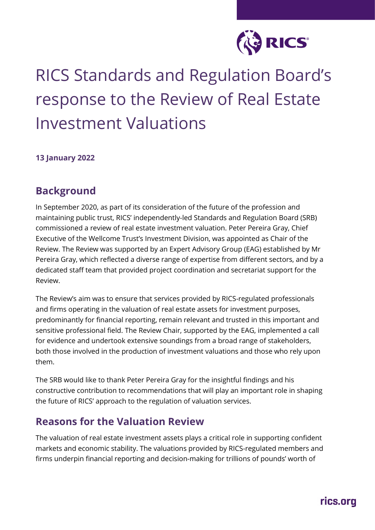

# RICS Standards and Regulation Board's response to the Review of Real Estate Investment Valuations

#### **13 January 2022**

#### **Background**

In September 2020, as part of its consideration of the future of the profession and maintaining public trust, RICS' independently-led Standards and Regulation Board (SRB) commissioned a review of real estate investment valuation. Peter Pereira Gray, Chief Executive of the Wellcome Trust's Investment Division, was appointed as Chair of the Review. The Review was supported by an Expert Advisory Group (EAG) established by Mr Pereira Gray, which reflected a diverse range of expertise from different sectors, and by a dedicated staff team that provided project coordination and secretariat support for the Review.

The Review's aim was to ensure that services provided by RICS-regulated professionals and firms operating in the valuation of real estate assets for investment purposes, predominantly for financial reporting, remain relevant and trusted in this important and sensitive professional field. The Review Chair, supported by the EAG, implemented a call for evidence and undertook extensive soundings from a broad range of stakeholders, both those involved in the production of investment valuations and those who rely upon them.

The SRB would like to thank Peter Pereira Gray for the insightful findings and his constructive contribution to recommendations that will play an important role in shaping the future of RICS' approach to the regulation of valuation services.

#### **Reasons for the Valuation Review**

The valuation of real estate investment assets plays a critical role in supporting confident markets and economic stability. The valuations provided by RICS-regulated members and firms underpin financial reporting and decision-making for trillions of pounds' worth of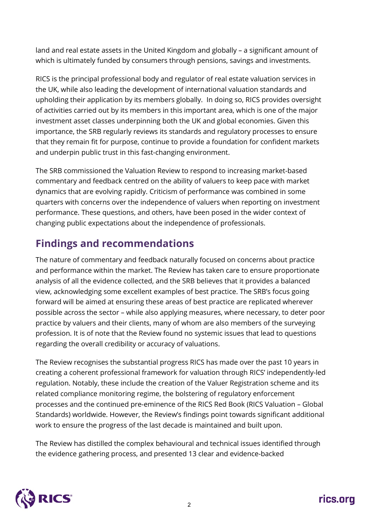land and real estate assets in the United Kingdom and globally – a significant amount of which is ultimately funded by consumers through pensions, savings and investments.

RICS is the principal professional body and regulator of real estate valuation services in the UK, while also leading the development of international valuation standards and upholding their application by its members globally. In doing so, RICS provides oversight of activities carried out by its members in this important area, which is one of the major investment asset classes underpinning both the UK and global economies. Given this importance, the SRB regularly reviews its standards and regulatory processes to ensure that they remain fit for purpose, continue to provide a foundation for confident markets and underpin public trust in this fast-changing environment.

The SRB commissioned the Valuation Review to respond to increasing market-based commentary and feedback centred on the ability of valuers to keep pace with market dynamics that are evolving rapidly. Criticism of performance was combined in some quarters with concerns over the independence of valuers when reporting on investment performance. These questions, and others, have been posed in the wider context of changing public expectations about the independence of professionals.

## **Findings and recommendations**

The nature of commentary and feedback naturally focused on concerns about practice and performance within the market. The Review has taken care to ensure proportionate analysis of all the evidence collected, and the SRB believes that it provides a balanced view, acknowledging some excellent examples of best practice. The SRB's focus going forward will be aimed at ensuring these areas of best practice are replicated wherever possible across the sector – while also applying measures, where necessary, to deter poor practice by valuers and their clients, many of whom are also members of the surveying profession. It is of note that the Review found no systemic issues that lead to questions regarding the overall credibility or accuracy of valuations.

The Review recognises the substantial progress RICS has made over the past 10 years in creating a coherent professional framework for valuation through RICS' independently-led regulation. Notably, these include the creation of the Valuer Registration scheme and its related compliance monitoring regime, the bolstering of regulatory enforcement processes and the continued pre-eminence of the RICS Red Book (RICS Valuation – Global Standards) worldwide. However, the Review's findings point towards significant additional work to ensure the progress of the last decade is maintained and built upon.

The Review has distilled the complex behavioural and technical issues identified through the evidence gathering process, and presented 13 clear and evidence-backed

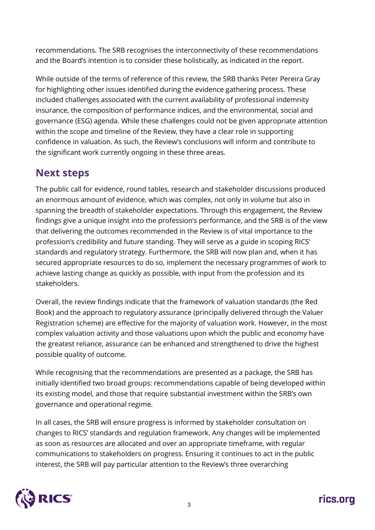recommendations. The SRB recognises the interconnectivity of these recommendations and the Board's intention is to consider these holistically, as indicated in the report.

While outside of the terms of reference of this review, the SRB thanks Peter Pereira Gray for highlighting other issues identified during the evidence gathering process. These included challenges associated with the current availability of professional indemnity insurance, the composition of performance indices, and the environmental, social and governance (ESG) agenda. While these challenges could not be given appropriate attention within the scope and timeline of the Review, they have a clear role in supporting confidence in valuation. As such, the Review's conclusions will inform and contribute to the significant work currently ongoing in these three areas.

### **Next steps**

The public call for evidence, round tables, research and stakeholder discussions produced an enormous amount of evidence, which was complex, not only in volume but also in spanning the breadth of stakeholder expectations. Through this engagement, the Review findings give a unique insight into the profession's performance, and the SRB is of the view that delivering the outcomes recommended in the Review is of vital importance to the profession's credibility and future standing. They will serve as a guide in scoping RICS' standards and regulatory strategy. Furthermore, the SRB will now plan and, when it has secured appropriate resources to do so, implement the necessary programmes of work to achieve lasting change as quickly as possible, with input from the profession and its stakeholders.

Overall, the review findings indicate that the framework of valuation standards (the Red Book) and the approach to regulatory assurance (principally delivered through the Valuer Registration scheme) are effective for the majority of valuation work. However, in the most complex valuation activity and those valuations upon which the public and economy have the greatest reliance, assurance can be enhanced and strengthened to drive the highest possible quality of outcome.

While recognising that the recommendations are presented as a package, the SRB has initially identified two broad groups: recommendations capable of being developed within its existing model, and those that require substantial investment within the SRB's own governance and operational regime.

In all cases, the SRB will ensure progress is informed by stakeholder consultation on changes to RICS' standards and regulation framework. Any changes will be implemented as soon as resources are allocated and over an appropriate timeframe, with regular communications to stakeholders on progress. Ensuring it continues to act in the public interest, the SRB will pay particular attention to the Review's three overarching